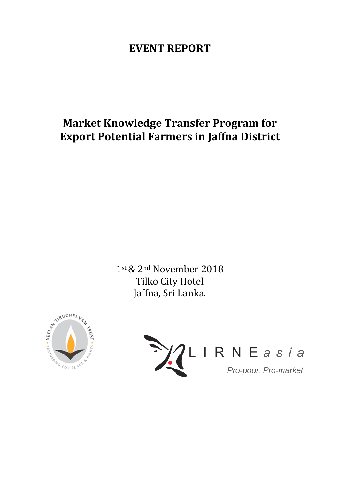# **EVENT REPORT**

# **Market Knowledge Transfer Program for Export Potential Farmers in Jaffna District**

1st & 2<sup>nd</sup> November 2018 Tilko City Hotel Jaffna, Sri Lanka.



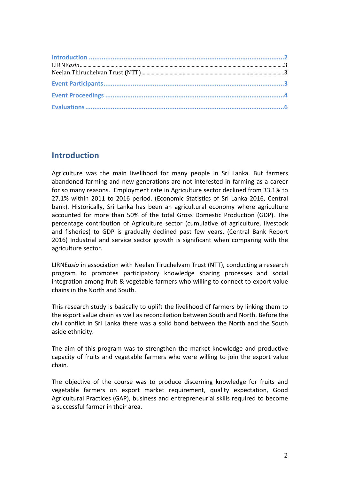## **Introduction**

Agriculture was the main livelihood for many people in Sri Lanka. But farmers abandoned farming and new generations are not interested in farming as a career for so many reasons. Employment rate in Agriculture sector declined from 33.1% to 27.1% within 2011 to 2016 period. (Economic Statistics of Sri Lanka 2016, Central bank). Historically, Sri Lanka has been an agricultural economy where agriculture accounted for more than 50% of the total Gross Domestic Production (GDP). The percentage contribution of Agriculture sector (cumulative of agriculture, livestock and fisheries) to GDP is gradually declined past few years. (Central Bank Report 2016) Industrial and service sector growth is significant when comparing with the agriculture sector.

LIRNE*asia* in association with Neelan Tiruchelvam Trust (NTT), conducting a research program to promotes participatory knowledge sharing processes and social integration among fruit & vegetable farmers who willing to connect to export value chains in the North and South.

This research study is basically to uplift the livelihood of farmers by linking them to the export value chain as well as reconciliation between South and North. Before the civil conflict in Sri Lanka there was a solid bond between the North and the South aside ethnicity.

The aim of this program was to strengthen the market knowledge and productive capacity of fruits and vegetable farmers who were willing to join the export value chain. 

The objective of the course was to produce discerning knowledge for fruits and vegetable farmers on export market requirement, quality expectation, Good Agricultural Practices (GAP), business and entrepreneurial skills required to become a successful farmer in their area.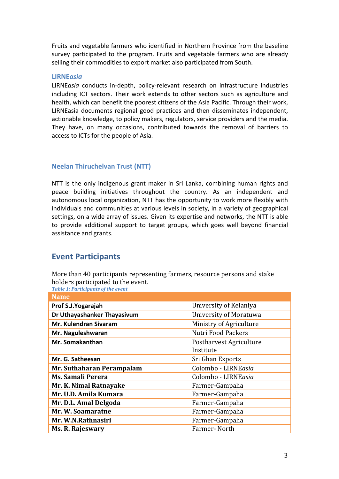Fruits and vegetable farmers who identified in Northern Province from the baseline survey participated to the program. Fruits and vegetable farmers who are already selling their commodities to export market also participated from South.

#### **LIRNE***asia*

LIRNE*asia* conducts in-depth, policy-relevant research on infrastructure industries including ICT sectors. Their work extends to other sectors such as agriculture and health, which can benefit the poorest citizens of the Asia Pacific. Through their work, LIRNEasia documents regional good practices and then disseminates independent, actionable knowledge, to policy makers, regulators, service providers and the media. They have, on many occasions, contributed towards the removal of barriers to access to ICTs for the people of Asia.

#### **Neelan Thiruchelvan Trust (NTT)**

NTT is the only indigenous grant maker in Sri Lanka, combining human rights and peace building initiatives throughout the country. As an independent and autonomous local organization, NTT has the opportunity to work more flexibly with individuals and communities at various levels in society, in a variety of geographical settings, on a wide array of issues. Given its expertise and networks, the NTT is able to provide additional support to target groups, which goes well beyond financial assistance and grants.

### **Event Participants**

More than 40 participants representing farmers, resource persons and stake holders participated to the event.

**Table 1: Participants of the event** 

| <b>Name</b>                 |                           |
|-----------------------------|---------------------------|
| Prof S.J. Yogarajah         | University of Kelaniya    |
| Dr Uthayashanker Thayasivum | University of Moratuwa    |
| Mr. Kulendran Sivaram       | Ministry of Agriculture   |
| Mr. Naguleshwaran           | <b>Nutri Food Packers</b> |
| Mr. Somakanthan             | Postharvest Agriculture   |
|                             | Institute                 |
| Mr. G. Satheesan            | Sri Ghan Exports          |
| Mr. Suthaharan Perampalam   | Colombo - LIRNEasia       |
| <b>Ms. Samali Perera</b>    | Colombo - LIRNEasia       |
| Mr. K. Nimal Ratnayake      | Farmer-Gampaha            |
| Mr. U.D. Amila Kumara       | Farmer-Gampaha            |
| Mr. D.L. Amal Delgoda       | Farmer-Gampaha            |
| Mr. W. Soamaratne           | Farmer-Gampaha            |
| Mr. W.N.Rathnasiri          | Farmer-Gampaha            |
| <b>Ms. R. Rajeswary</b>     | Farmer-North              |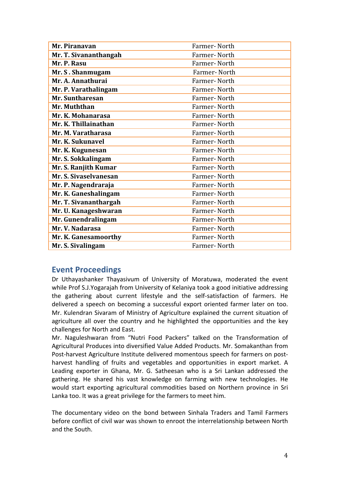| Mr. Piranavan         | Farmer-North |
|-----------------------|--------------|
| Mr. T. Sivananthangah | Farmer-North |
| Mr. P. Rasu           | Farmer-North |
| Mr. S. Shanmugam      | Farmer-North |
| Mr. A. Annathurai     | Farmer-North |
| Mr. P. Varathalingam  | Farmer-North |
| Mr. Suntharesan       | Farmer-North |
| Mr. Muththan          | Farmer-North |
| Mr. K. Mohanarasa     | Farmer-North |
| Mr. K. Thillainathan  | Farmer-North |
| Mr. M. Varatharasa    | Farmer-North |
| Mr. K. Sukunavel      | Farmer-North |
| Mr. K. Kugunesan      | Farmer-North |
| Mr. S. Sokkalingam    | Farmer-North |
| Mr. S. Ranjith Kumar  | Farmer-North |
| Mr. S. Sivaselvanesan | Farmer-North |
| Mr. P. Nagendraraja   | Farmer-North |
| Mr. K. Ganeshalingam  | Farmer-North |
| Mr. T. Sivananthargah | Farmer-North |
| Mr. U. Kanageshwaran  | Farmer-North |
| Mr. Gunendralingam    | Farmer-North |
| Mr. V. Nadarasa       | Farmer-North |
| Mr. K. Ganesamoorthy  | Farmer-North |
| Mr. S. Sivalingam     | Farmer-North |

### **Event Proceedings**

Dr Uthayashanker Thayasivum of University of Moratuwa, moderated the event while Prof S.J.Yogarajah from University of Kelaniya took a good initiative addressing the gathering about current lifestyle and the self-satisfaction of farmers. He delivered a speech on becoming a successful export oriented farmer later on too. Mr. Kulendran Sivaram of Ministry of Agriculture explained the current situation of agriculture all over the country and he highlighted the opportunities and the key challenges for North and East.

Mr. Naguleshwaran from "Nutri Food Packers" talked on the Transformation of Agricultural Produces into diversified Value Added Products. Mr. Somakanthan from Post-harvest Agriculture Institute delivered momentous speech for farmers on postharvest handling of fruits and vegetables and opportunities in export market. A Leading exporter in Ghana, Mr. G. Satheesan who is a Sri Lankan addressed the gathering. He shared his vast knowledge on farming with new technologies. He would start exporting agricultural commodities based on Northern province in Sri Lanka too. It was a great privilege for the farmers to meet him.

The documentary video on the bond between Sinhala Traders and Tamil Farmers before conflict of civil war was shown to enroot the interrelationship between North and the South.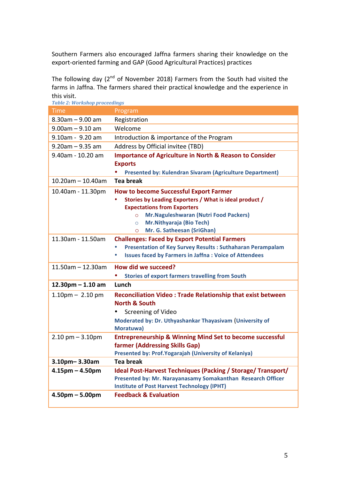Southern Farmers also encouraged Jaffna farmers sharing their knowledge on the export-oriented farming and GAP (Good Agricultural Practices) practices

The following day ( $2<sup>nd</sup>$  of November 2018) Farmers from the South had visited the farms in Jaffna. The farmers shared their practical knowledge and the experience in this visit.

| <b>Table 2: Workshop proceedings</b> |                                                                       |
|--------------------------------------|-----------------------------------------------------------------------|
| <b>Time</b>                          | Program                                                               |
| $8.30$ am $- 9.00$ am                | Registration                                                          |
| $9.00$ am $- 9.10$ am                | Welcome                                                               |
| $9.10$ am - $9.20$ am                | Introduction & importance of the Program                              |
| $9.20$ am - 9.35 am                  | Address by Official invitee (TBD)                                     |
| 9.40am - 10.20 am                    | <b>Importance of Agriculture in North &amp; Reason to Consider</b>    |
|                                      | <b>Exports</b>                                                        |
|                                      | <b>Presented by: Kulendran Sivaram (Agriculture Department)</b>       |
| $10.20$ am - 10.40am                 | <b>Tea break</b>                                                      |
| 10.40am - 11.30pm                    | <b>How to become Successful Export Farmer</b>                         |
|                                      | Stories by Leading Exporters / What is ideal product /                |
|                                      | <b>Expectations from Exporters</b>                                    |
|                                      | Mr.Naguleshwaran (Nutri Food Packers)<br>$\Omega$                     |
|                                      | <b>Mr.Nithyaraja (Bio Tech)</b><br>$\circ$                            |
|                                      | Mr. G. Satheesan (SriGhan)<br>$\circ$                                 |
| 11.30am - 11.50am                    | <b>Challenges: Faced by Export Potential Farmers</b>                  |
|                                      | <b>Presentation of Key Survey Results: Suthaharan Perampalam</b><br>۰ |
|                                      | <b>Issues faced by Farmers in Jaffna: Voice of Attendees</b>          |
| $11.50$ am - 12.30am                 | How did we succeed?                                                   |
|                                      | <b>Stories of export farmers travelling from South</b>                |
| $12.30$ pm $- 1.10$ am               | Lunch                                                                 |
| $1.10pm - 2.10pm$                    | <b>Reconciliation Video: Trade Relationship that exist between</b>    |
|                                      | <b>North &amp; South</b>                                              |
|                                      | Screening of Video<br>$\bullet$                                       |
|                                      | Moderated by: Dr. Uthyashankar Thayasivam (University of              |
|                                      | Moratuwa)                                                             |
| $2.10$ pm $- 3.10$ pm                | <b>Entrepreneurship &amp; Winning Mind Set to become successful</b>   |
|                                      | farmer (Addressing Skills Gap)                                        |
|                                      | Presented by: Prof. Yogarajah (University of Kelaniya)                |
| $3.10$ pm- $3.30$ am                 | <b>Tea break</b>                                                      |
| $4.15$ pm $- 4.50$ pm                | Ideal Post-Harvest Techniques (Packing / Storage/ Transport/          |
|                                      | Presented by: Mr. Narayanasamy Somakanthan Research Officer           |
|                                      | <b>Institute of Post Harvest Technology (IPHT)</b>                    |
| $4.50pm - 5.00pm$                    | <b>Feedback &amp; Evaluation</b>                                      |